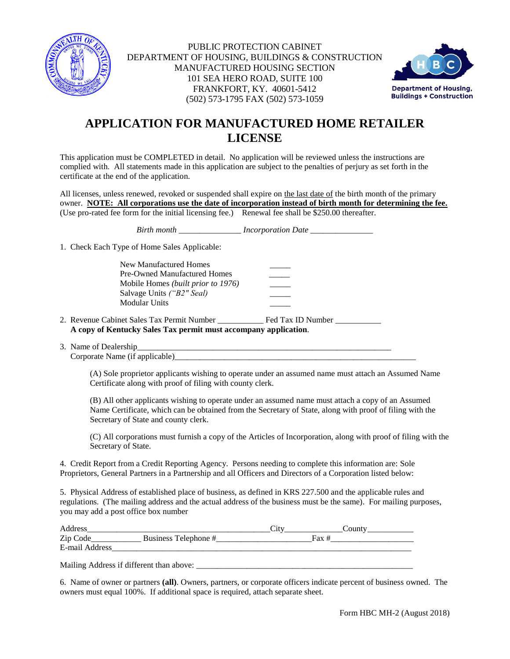



# **APPLICATION FOR MANUFACTURED HOME RETAILER LICENSE**

This application must be COMPLETED in detail. No application will be reviewed unless the instructions are complied with. All statements made in this application are subject to the penalties of perjury as set forth in the certificate at the end of the application.

All licenses, unless renewed, revoked or suspended shall expire on the last date of the birth month of the primary owner. **NOTE: All corporations use the date of incorporation instead of birth month for determining the fee.** (Use pro-rated fee form for the initial licensing fee.) Renewal fee shall be \$250.00 thereafter.

*Birth month \_\_\_\_\_\_\_\_\_\_\_\_\_\_\_ Incorporation Date \_\_\_\_\_\_\_\_\_\_\_\_\_\_\_* 

1. Check Each Type of Home Sales Applicable:

New Manufactured Homes Pre-Owned Manufactured Homes Mobile Homes *(built prior to 1976)* \_\_\_\_\_ Salvage Units *("B2" Seal)* \_\_\_\_\_ Modular Units

- 2. Revenue Cabinet Sales Tax Permit Number \_\_\_\_\_\_\_\_\_\_\_ Fed Tax ID Number \_\_\_\_\_\_\_\_\_\_\_ **A copy of Kentucky Sales Tax permit must accompany application**.
- 3. Name of Dealership Corporate Name (if applicable)

(A) Sole proprietor applicants wishing to operate under an assumed name must attach an Assumed Name Certificate along with proof of filing with county clerk.

(B) All other applicants wishing to operate under an assumed name must attach a copy of an Assumed Name Certificate, which can be obtained from the Secretary of State, along with proof of filing with the Secretary of State and county clerk.

(C) All corporations must furnish a copy of the Articles of Incorporation, along with proof of filing with the Secretary of State.

4. Credit Report from a Credit Reporting Agency. Persons needing to complete this information are: Sole Proprietors, General Partners in a Partnership and all Officers and Directors of a Corporation listed below:

5. Physical Address of established place of business, as defined in KRS 227.500 and the applicable rules and regulations. (The mailing address and the actual address of the business must be the same). For mailing purposes, you may add a post office box number

| Address        |                      | ال. | $\sim$ 011 <sup>p+-1</sup> |
|----------------|----------------------|-----|----------------------------|
| Zip Code       | Business Telephone # |     |                            |
| E-mail Address |                      |     |                            |

Mailing Address if different than above: \_\_\_\_\_\_\_\_\_\_\_\_\_\_\_\_\_\_\_\_\_\_\_\_\_\_\_\_\_\_\_\_\_\_\_\_\_\_\_\_\_\_\_\_\_\_\_\_\_\_\_\_

6. Name of owner or partners **(all)**. Owners, partners, or corporate officers indicate percent of business owned. The owners must equal 100%. If additional space is required, attach separate sheet.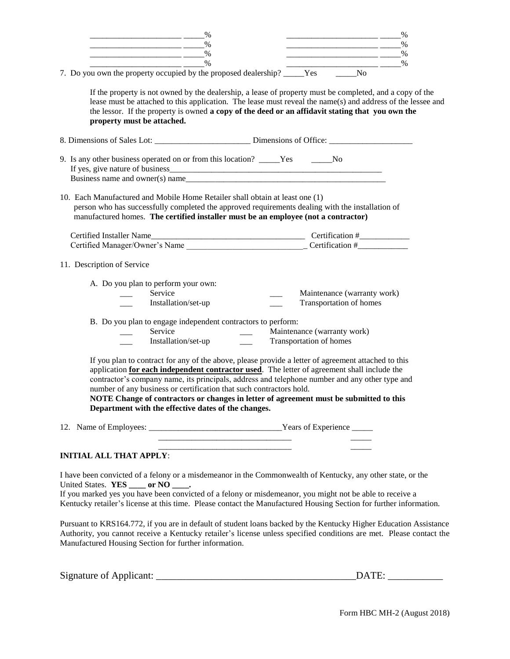| $\%$<br>$\%$                                                                                                                                                                                                                                                                                                                                                                                                                                                                                                                 |
|------------------------------------------------------------------------------------------------------------------------------------------------------------------------------------------------------------------------------------------------------------------------------------------------------------------------------------------------------------------------------------------------------------------------------------------------------------------------------------------------------------------------------|
| %<br>%<br><u> 1989 - Johann John Stein, fransk politik (d. 1989)</u>                                                                                                                                                                                                                                                                                                                                                                                                                                                         |
| %<br>$\%$                                                                                                                                                                                                                                                                                                                                                                                                                                                                                                                    |
| $\%$<br>$\%$<br><u> 1988 - Jan Barbarat, prima popular popular popular popular popular popular popular popular popular popular p</u>                                                                                                                                                                                                                                                                                                                                                                                         |
| 7. Do you own the property occupied by the proposed dealership? ____Yes _____No                                                                                                                                                                                                                                                                                                                                                                                                                                              |
| If the property is not owned by the dealership, a lease of property must be completed, and a copy of the<br>lease must be attached to this application. The lease must reveal the name(s) and address of the lessee and<br>the lessor. If the property is owned a copy of the deed or an affidavit stating that you own the<br>property must be attached.                                                                                                                                                                    |
|                                                                                                                                                                                                                                                                                                                                                                                                                                                                                                                              |
| 9. Is any other business operated on or from this location? _____Yes ______No                                                                                                                                                                                                                                                                                                                                                                                                                                                |
| 10. Each Manufactured and Mobile Home Retailer shall obtain at least one (1)<br>person who has successfully completed the approved requirements dealing with the installation of<br>manufactured homes. The certified installer must be an employee (not a contractor)                                                                                                                                                                                                                                                       |
|                                                                                                                                                                                                                                                                                                                                                                                                                                                                                                                              |
|                                                                                                                                                                                                                                                                                                                                                                                                                                                                                                                              |
| 11. Description of Service                                                                                                                                                                                                                                                                                                                                                                                                                                                                                                   |
| A. Do you plan to perform your own:                                                                                                                                                                                                                                                                                                                                                                                                                                                                                          |
| Service<br>Maintenance (warranty work)                                                                                                                                                                                                                                                                                                                                                                                                                                                                                       |
| Installation/set-up<br>Transportation of homes                                                                                                                                                                                                                                                                                                                                                                                                                                                                               |
| B. Do you plan to engage independent contractors to perform:                                                                                                                                                                                                                                                                                                                                                                                                                                                                 |
| Service<br>Maintenance (warranty work)                                                                                                                                                                                                                                                                                                                                                                                                                                                                                       |
| Installation/set-up<br>Transportation of homes                                                                                                                                                                                                                                                                                                                                                                                                                                                                               |
| If you plan to contract for any of the above, please provide a letter of agreement attached to this<br>application for each independent contractor used. The letter of agreement shall include the<br>contractor's company name, its principals, address and telephone number and any other type and<br>number of any business or certification that such contractors hold.<br>NOTE Change of contractors or changes in letter of agreement must be submitted to this<br>Department with the effective dates of the changes. |
|                                                                                                                                                                                                                                                                                                                                                                                                                                                                                                                              |
|                                                                                                                                                                                                                                                                                                                                                                                                                                                                                                                              |
| <b>INITIAL ALL THAT APPLY:</b>                                                                                                                                                                                                                                                                                                                                                                                                                                                                                               |
| I have been convicted of a felony or a misdemeanor in the Commonwealth of Kentucky, any other state, or the<br>United States. YES _____ or NO _____.                                                                                                                                                                                                                                                                                                                                                                         |
| If you marked yes you have been convicted of a felony or misdemeanor, you might not be able to receive a                                                                                                                                                                                                                                                                                                                                                                                                                     |
| Kentucky retailer's license at this time. Please contact the Manufactured Housing Section for further information.                                                                                                                                                                                                                                                                                                                                                                                                           |
| Pursuant to KRS164.772, if you are in default of student loans backed by the Kentucky Higher Education Assistance<br>Authority, you cannot receive a Kentucky retailer's license unless specified conditions are met. Please contact the<br>Manufactured Housing Section for further information.                                                                                                                                                                                                                            |

| $\sim$<br>Signature of Applicant: |  |
|-----------------------------------|--|
|                                   |  |

Form HBC MH-2 (August 2018)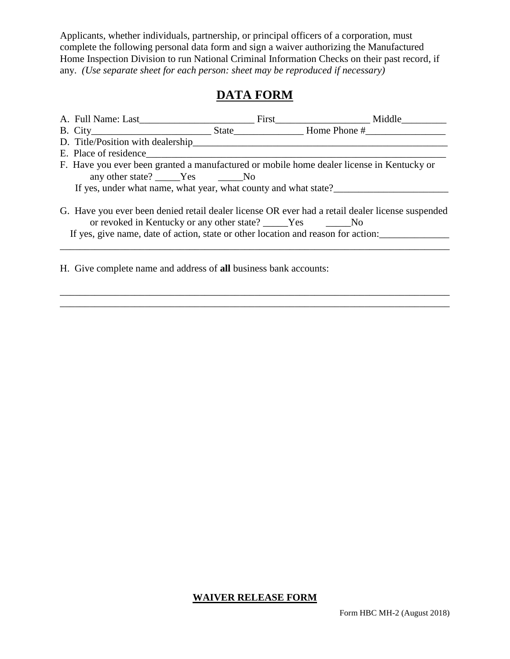Applicants, whether individuals, partnership, or principal officers of a corporation, must complete the following personal data form and sign a waiver authorizing the Manufactured Home Inspection Division to run National Criminal Information Checks on their past record, if any. *(Use separate sheet for each person: sheet may be reproduced if necessary)*

# **DATA FORM**

| A. Full Name: Last                                                                                                                                | First Middle                                                                                     |
|---------------------------------------------------------------------------------------------------------------------------------------------------|--------------------------------------------------------------------------------------------------|
|                                                                                                                                                   |                                                                                                  |
| D. Title/Position with dealership                                                                                                                 |                                                                                                  |
| E. Place of residence                                                                                                                             |                                                                                                  |
| F. Have you ever been granted a manufactured or mobile home dealer license in Kentucky or                                                         |                                                                                                  |
| any other state? _____Yes ______No                                                                                                                |                                                                                                  |
| If yes, under what name, what year, what county and what state?                                                                                   |                                                                                                  |
| or revoked in Kentucky or any other state? _____Yes ______No<br>If yes, give name, date of action, state or other location and reason for action: | G. Have you ever been denied retail dealer license OR ever had a retail dealer license suspended |

\_\_\_\_\_\_\_\_\_\_\_\_\_\_\_\_\_\_\_\_\_\_\_\_\_\_\_\_\_\_\_\_\_\_\_\_\_\_\_\_\_\_\_\_\_\_\_\_\_\_\_\_\_\_\_\_\_\_\_\_\_\_\_\_\_\_\_\_\_\_\_\_\_\_\_\_\_\_ \_\_\_\_\_\_\_\_\_\_\_\_\_\_\_\_\_\_\_\_\_\_\_\_\_\_\_\_\_\_\_\_\_\_\_\_\_\_\_\_\_\_\_\_\_\_\_\_\_\_\_\_\_\_\_\_\_\_\_\_\_\_\_\_\_\_\_\_\_\_\_\_\_\_\_\_\_\_

H. Give complete name and address of **all** business bank accounts:

### **WAIVER RELEASE FORM**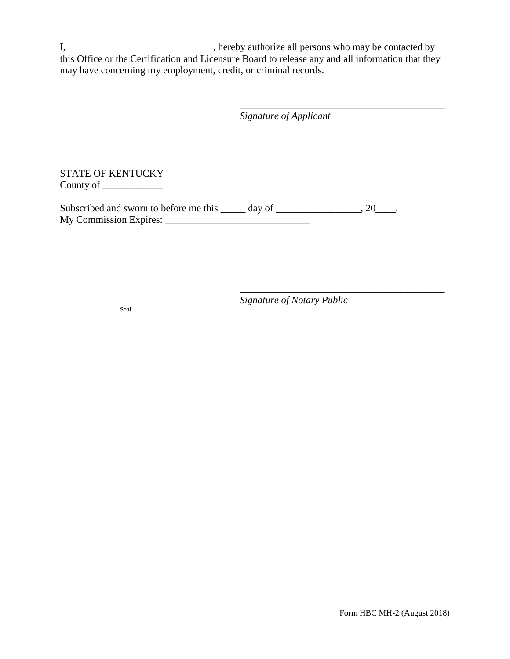I, \_\_\_\_\_\_\_\_\_\_\_\_\_\_\_\_\_\_\_\_\_\_\_\_\_\_\_\_\_\_\_, hereby authorize all persons who may be contacted by this Office or the Certification and Licensure Board to release any and all information that they may have concerning my employment, credit, or criminal records.

*Signature of Applicant*

\_\_\_\_\_\_\_\_\_\_\_\_\_\_\_\_\_\_\_\_\_\_\_\_\_\_\_\_\_\_\_\_\_\_\_\_\_\_\_\_\_

\_\_\_\_\_\_\_\_\_\_\_\_\_\_\_\_\_\_\_\_\_\_\_\_\_\_\_\_\_\_\_\_\_\_\_\_\_\_\_\_\_

STATE OF KENTUCKY County of \_\_\_\_\_\_\_\_\_\_\_\_

Subscribed and sworn to before me this \_\_\_\_\_ day of \_\_\_\_\_\_\_\_\_\_\_\_\_\_\_, 20\_\_\_\_. My Commission Expires: \_\_\_\_\_\_\_\_\_\_\_\_\_\_\_\_\_\_\_\_\_\_\_\_\_\_\_\_\_

*Signature of Notary Public*

Seal

Form HBC MH-2 (August 2018)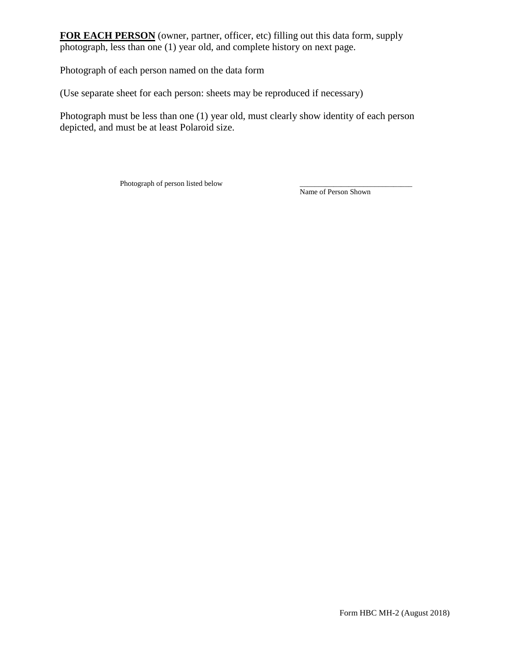**FOR EACH PERSON** (owner, partner, officer, etc) filling out this data form, supply photograph, less than one (1) year old, and complete history on next page.

Photograph of each person named on the data form

(Use separate sheet for each person: sheets may be reproduced if necessary)

Photograph must be less than one (1) year old, must clearly show identity of each person depicted, and must be at least Polaroid size.

Photograph of person listed below

Name of Person Shown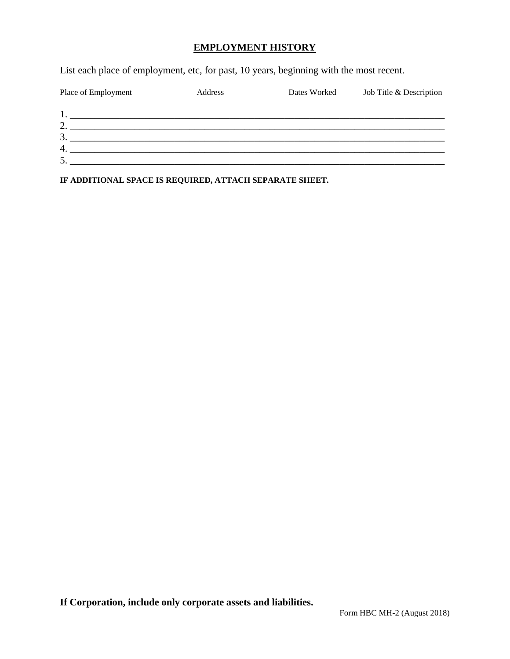### **EMPLOYMENT HISTORY**

List each place of employment, etc, for past, 10 years, beginning with the most recent.

| Place of Employment | Address | Dates Worked | Job Title & Description |
|---------------------|---------|--------------|-------------------------|
|                     |         |              |                         |
|                     |         |              |                         |
| ↑<br>∸              |         |              |                         |
| 3                   |         |              |                         |
| $\overline{4}$      |         |              |                         |
| 5                   |         |              |                         |

**IF ADDITIONAL SPACE IS REQUIRED, ATTACH SEPARATE SHEET.**

**If Corporation, include only corporate assets and liabilities.**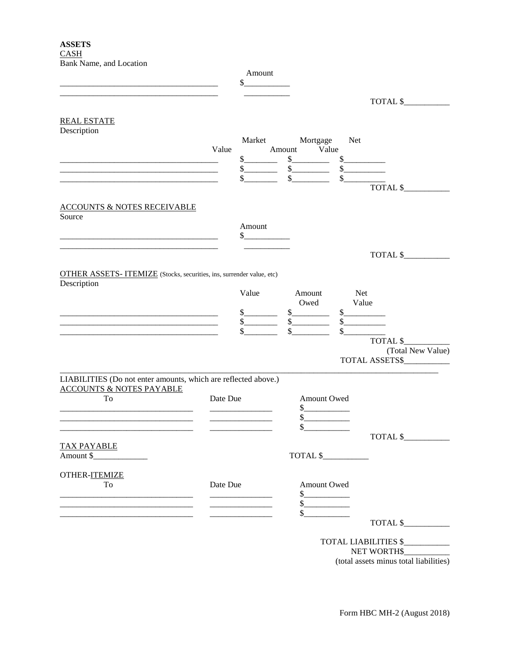|                                                                                                       |          | Amount<br>\$                                                                                               |                                               |              |                                                 |
|-------------------------------------------------------------------------------------------------------|----------|------------------------------------------------------------------------------------------------------------|-----------------------------------------------|--------------|-------------------------------------------------|
| <b>REAL ESTATE</b>                                                                                    |          |                                                                                                            |                                               |              | TOTAL \$                                        |
| Description                                                                                           |          |                                                                                                            |                                               | Net          |                                                 |
|                                                                                                       | Value    |                                                                                                            | Market Mortgage<br>Amount Value               |              |                                                 |
|                                                                                                       |          | s                                                                                                          | s                                             |              | s                                               |
|                                                                                                       |          | s                                                                                                          | $\frac{\sqrt{25}}{25}$ $\frac{\sqrt{25}}{25}$ |              |                                                 |
|                                                                                                       |          | $\frac{\text{S}}{\text{S}}$                                                                                | $\frac{1}{2}$                                 |              | s<br>TOTAL \$                                   |
| <b>ACCOUNTS &amp; NOTES RECEIVABLE</b><br>Source                                                      |          |                                                                                                            |                                               |              |                                                 |
|                                                                                                       |          | Amount                                                                                                     |                                               |              |                                                 |
|                                                                                                       |          | s                                                                                                          |                                               |              |                                                 |
|                                                                                                       |          |                                                                                                            |                                               |              | TOTAL \$                                        |
| <b>OTHER ASSETS- ITEMIZE</b> (Stocks, securities, ins, surrender value, etc)<br>Description           |          |                                                                                                            |                                               |              |                                                 |
|                                                                                                       |          | Value                                                                                                      | Amount                                        |              | Net                                             |
| <u> 1980 - Jan James James Barnett, fransk politik (d. 1980)</u>                                      |          | s                                                                                                          | Owed<br>s                                     |              | Value<br>$\frac{\text{S}}{\text{S}}$            |
|                                                                                                       |          | s                                                                                                          | s                                             |              |                                                 |
|                                                                                                       |          | $\mathbb{S}$                                                                                               |                                               | $\mathbb{S}$ |                                                 |
|                                                                                                       |          |                                                                                                            |                                               |              | TOTAL \$<br>(Total New Value)<br>TOTAL ASSETS\$ |
| LIABILITIES (Do not enter amounts, which are reflected above.)<br><b>ACCOUNTS &amp; NOTES PAYABLE</b> |          |                                                                                                            |                                               |              |                                                 |
| To                                                                                                    | Date Due |                                                                                                            | Amount Owed                                   |              |                                                 |
|                                                                                                       |          | <u> Liberal Maria de la contrada de la contrada de la contrada de la contrada de la contrada de la con</u> | $\frac{1}{2}$<br>$\frac{1}{2}$                |              |                                                 |
|                                                                                                       |          |                                                                                                            | $\frac{1}{2}$                                 |              |                                                 |
|                                                                                                       |          |                                                                                                            |                                               |              | TOTAL \$                                        |
| <b>TAX PAYABLE</b><br>Amount \$_______________                                                        |          |                                                                                                            | TOTAL \$                                      |              |                                                 |
| OTHER-ITEMIZE                                                                                         |          |                                                                                                            |                                               |              |                                                 |
| To                                                                                                    | Date Due |                                                                                                            | Amount Owed                                   |              |                                                 |
|                                                                                                       |          |                                                                                                            | $\frac{1}{2}$                                 |              |                                                 |
|                                                                                                       |          |                                                                                                            | $\frac{1}{2}$<br>$\frac{\text{S}}{\text{S}}$  |              |                                                 |
|                                                                                                       |          |                                                                                                            |                                               |              | TOTAL \$                                        |
|                                                                                                       |          |                                                                                                            |                                               |              | TOTAL LIABILITIES \$                            |
|                                                                                                       |          |                                                                                                            |                                               |              | NET WORTH\$                                     |

(total assets minus total liabilities)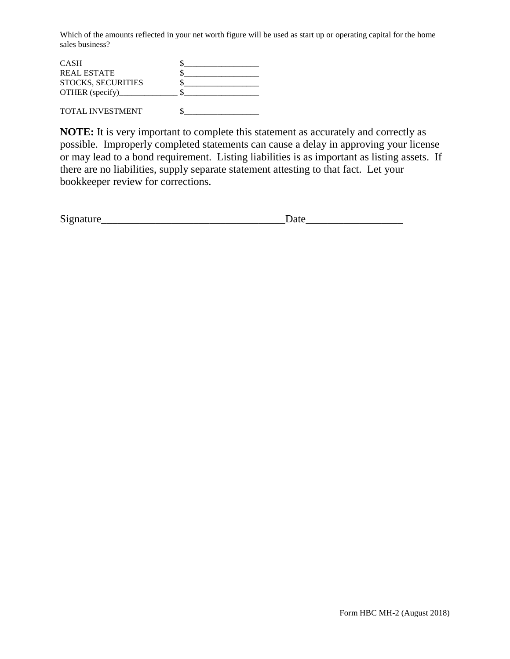Which of the amounts reflected in your net worth figure will be used as start up or operating capital for the home sales business?

| <b>CASH</b>               |  |
|---------------------------|--|
| <b>REAL ESTATE</b>        |  |
| <b>STOCKS, SECURITIES</b> |  |
| OTHER (specify)           |  |
|                           |  |

TOTAL INVESTMENT  $\qquad \qquad \$\qquad$ 

**NOTE:** It is very important to complete this statement as accurately and correctly as possible. Improperly completed statements can cause a delay in approving your license or may lead to a bond requirement. Listing liabilities is as important as listing assets. If there are no liabilities, supply separate statement attesting to that fact. Let your bookkeeper review for corrections.

| $\sim$<br>$\mathbf{D}1$<br>------- | --- |
|------------------------------------|-----|
|------------------------------------|-----|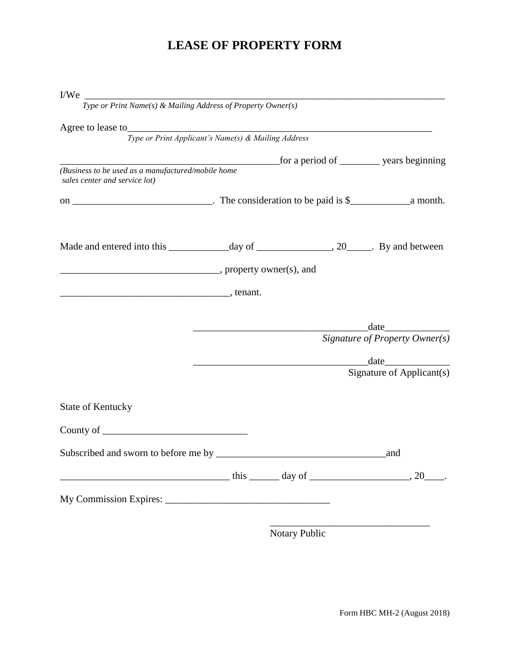# **LEASE OF PROPERTY FORM**

| I/We                                                                                                                                                                                                                                                                                                                                                                                                        |  |                                |
|-------------------------------------------------------------------------------------------------------------------------------------------------------------------------------------------------------------------------------------------------------------------------------------------------------------------------------------------------------------------------------------------------------------|--|--------------------------------|
| Type or Print Name(s) & Mailing Address of Property Owner(s)                                                                                                                                                                                                                                                                                                                                                |  |                                |
| Agree to lease to <b>Executive Constantine Constantine Constantine Constantine Constantine Constantine Constantine Constantine Constantine Constantine Constantine Constantine Constantine Constantine Constantine Constantine C</b>                                                                                                                                                                        |  |                                |
| Type or Print Applicant's Name(s) & Mailing Address                                                                                                                                                                                                                                                                                                                                                         |  |                                |
|                                                                                                                                                                                                                                                                                                                                                                                                             |  |                                |
| (Business to be used as a manufactured/mobile home<br>sales center and service lot)                                                                                                                                                                                                                                                                                                                         |  |                                |
|                                                                                                                                                                                                                                                                                                                                                                                                             |  |                                |
|                                                                                                                                                                                                                                                                                                                                                                                                             |  |                                |
|                                                                                                                                                                                                                                                                                                                                                                                                             |  |                                |
| $\overline{\phantom{a}}$ , tenant.                                                                                                                                                                                                                                                                                                                                                                          |  |                                |
|                                                                                                                                                                                                                                                                                                                                                                                                             |  |                                |
|                                                                                                                                                                                                                                                                                                                                                                                                             |  |                                |
|                                                                                                                                                                                                                                                                                                                                                                                                             |  | Signature of Property Owner(s) |
|                                                                                                                                                                                                                                                                                                                                                                                                             |  |                                |
|                                                                                                                                                                                                                                                                                                                                                                                                             |  | Signature of Applicant(s)      |
| <b>State of Kentucky</b>                                                                                                                                                                                                                                                                                                                                                                                    |  |                                |
| County of $\frac{1}{\sqrt{1-\frac{1}{2}}\sqrt{1-\frac{1}{2}}\sqrt{1-\frac{1}{2}}\sqrt{1-\frac{1}{2}}\sqrt{1-\frac{1}{2}}\sqrt{1-\frac{1}{2}}\sqrt{1-\frac{1}{2}}\sqrt{1-\frac{1}{2}}\sqrt{1-\frac{1}{2}}\sqrt{1-\frac{1}{2}}\sqrt{1-\frac{1}{2}}\sqrt{1-\frac{1}{2}}\sqrt{1-\frac{1}{2}}\sqrt{1-\frac{1}{2}}\sqrt{1-\frac{1}{2}}\sqrt{1-\frac{1}{2}}\sqrt{1-\frac{1}{2}}\sqrt{1-\frac{1}{2}}\sqrt{1-\frac{$ |  |                                |
|                                                                                                                                                                                                                                                                                                                                                                                                             |  |                                |
| $this$ day of $\qquad \qquad$ 20                                                                                                                                                                                                                                                                                                                                                                            |  |                                |
|                                                                                                                                                                                                                                                                                                                                                                                                             |  |                                |
|                                                                                                                                                                                                                                                                                                                                                                                                             |  |                                |

Notary Public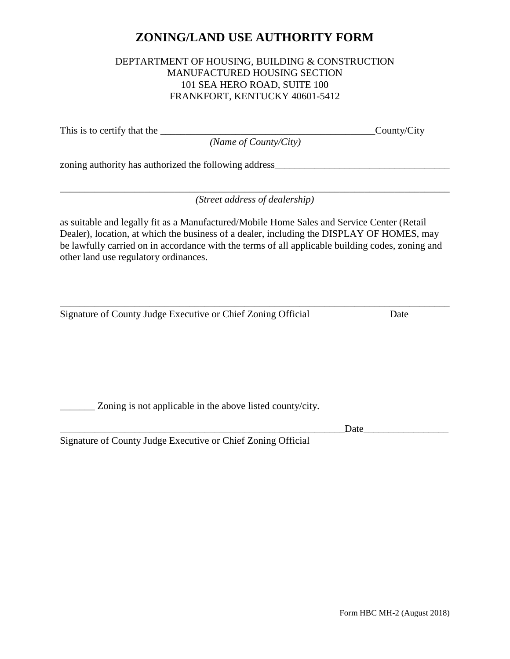# **ZONING/LAND USE AUTHORITY FORM**

#### DEPTARTMENT OF HOUSING, BUILDING & CONSTRUCTION MANUFACTURED HOUSING SECTION 101 SEA HERO ROAD, SUITE 100 FRANKFORT, KENTUCKY 40601-5412

This is to certify that the County/City

*(Name of County/City)*

zoning authority has authorized the following address\_\_\_\_\_\_\_\_\_\_\_\_\_\_\_\_\_\_\_\_\_\_\_\_\_\_\_\_

\_\_\_\_\_\_\_\_\_\_\_\_\_\_\_\_\_\_\_\_\_\_\_\_\_\_\_\_\_\_\_\_\_\_\_\_\_\_\_\_\_\_\_\_\_\_\_\_\_\_\_\_\_\_\_\_\_\_\_\_\_\_\_\_\_\_\_\_\_\_\_\_\_\_\_\_\_\_ *(Street address of dealership)*

as suitable and legally fit as a Manufactured/Mobile Home Sales and Service Center (Retail Dealer), location, at which the business of a dealer, including the DISPLAY OF HOMES, may be lawfully carried on in accordance with the terms of all applicable building codes, zoning and other land use regulatory ordinances.

\_\_\_\_\_\_\_\_\_\_\_\_\_\_\_\_\_\_\_\_\_\_\_\_\_\_\_\_\_\_\_\_\_\_\_\_\_\_\_\_\_\_\_\_\_\_\_\_\_\_\_\_\_\_\_\_\_\_\_\_\_\_\_\_\_\_\_\_\_\_\_\_\_\_\_\_\_\_ Signature of County Judge Executive or Chief Zoning Official Date

\_\_\_\_\_\_\_ Zoning is not applicable in the above listed county/city.

 $Date$   $\Box$ 

Signature of County Judge Executive or Chief Zoning Official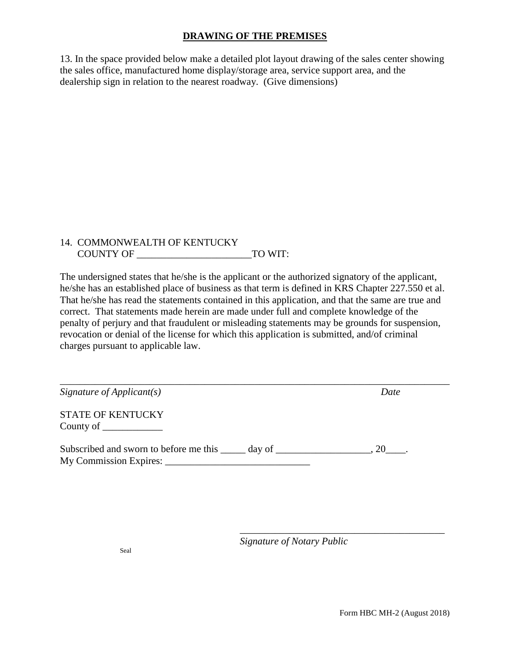### **DRAWING OF THE PREMISES**

13. In the space provided below make a detailed plot layout drawing of the sales center showing the sales office, manufactured home display/storage area, service support area, and the dealership sign in relation to the nearest roadway. (Give dimensions)

#### 14. COMMONWEALTH OF KENTUCKY COUNTY OF TO WIT:

The undersigned states that he/she is the applicant or the authorized signatory of the applicant, he/she has an established place of business as that term is defined in KRS Chapter 227.550 et al. That he/she has read the statements contained in this application, and that the same are true and correct. That statements made herein are made under full and complete knowledge of the penalty of perjury and that fraudulent or misleading statements may be grounds for suspension, revocation or denial of the license for which this application is submitted, and/of criminal charges pursuant to applicable law.

| Signature of Applicant(s)                                                         | Date |
|-----------------------------------------------------------------------------------|------|
| <b>STATE OF KENTUCKY</b><br>County of $\_\_\_\_\_\_\_\_\_\_\_\_\_$                |      |
| Subscribed and sworn to before me this ______ day of ____________________________ | 20.  |

*Signature of Notary Public*

\_\_\_\_\_\_\_\_\_\_\_\_\_\_\_\_\_\_\_\_\_\_\_\_\_\_\_\_\_\_\_\_\_\_\_\_\_\_\_\_\_

Form HBC MH-2 (August 2018)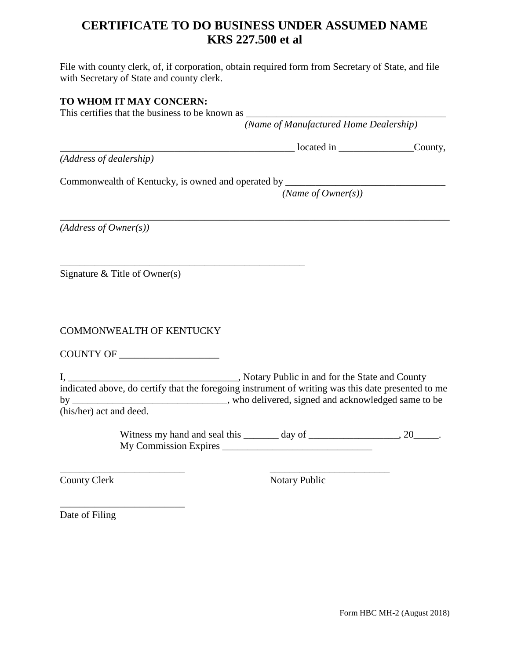# **CERTIFICATE TO DO BUSINESS UNDER ASSUMED NAME KRS 227.500 et al**

File with county clerk, of, if corporation, obtain required form from Secretary of State, and file with Secretary of State and county clerk.

\_\_\_\_\_\_\_\_\_\_\_\_\_\_\_\_\_\_\_\_\_\_\_\_\_\_\_\_\_\_\_\_\_\_\_\_\_\_\_\_\_\_\_\_\_\_\_\_\_\_\_\_\_\_\_\_\_\_\_\_\_\_\_\_\_\_\_\_\_\_\_\_\_\_\_\_\_\_

### **TO WHOM IT MAY CONCERN:**

This certifies that the business to be known as

 *(Name of Manufactured Home Dealership)*

*(Address of dealership)*

Commonwealth of Kentucky, is owned and operated by \_\_\_\_\_\_\_\_\_\_\_\_\_\_\_\_\_\_\_\_\_\_\_\_\_\_\_\_\_

\_\_\_\_\_\_\_\_\_\_\_\_\_\_\_\_\_\_\_\_\_\_\_\_\_\_\_\_\_\_\_\_\_\_\_\_\_\_\_\_\_\_\_\_\_\_\_\_\_

*(Name of Owner(s))*

 $localed$  in  $County$ ,

*(Address of Owner(s))*

Signature & Title of Owner(s)

COMMONWEALTH OF KENTUCKY

COUNTY OF

\_\_\_\_\_\_\_\_\_\_\_\_\_\_\_\_\_\_\_\_\_\_\_\_\_

I, Notary Public in and for the State and County indicated above, do certify that the foregoing instrument of writing was this date presented to me by \_\_\_\_\_\_\_\_\_\_\_\_\_\_\_\_\_\_\_\_\_\_\_\_\_\_\_\_, who delivered, signed and acknowledged same to be (his/her) act and deed.

\_\_\_\_\_\_\_\_\_\_\_\_\_\_\_\_\_\_\_\_\_\_\_\_\_ \_\_\_\_\_\_\_\_\_\_\_\_\_\_\_\_\_\_\_\_\_\_\_\_

Witness my hand and seal this \_\_\_\_\_\_\_ day of \_\_\_\_\_\_\_\_\_\_\_\_\_\_\_, 20\_\_\_\_\_. My Commission Expires \_\_\_\_\_\_\_\_\_\_\_\_\_\_\_\_\_\_\_\_\_\_\_\_\_\_\_\_\_\_

County Clerk Notary Public

Date of Filing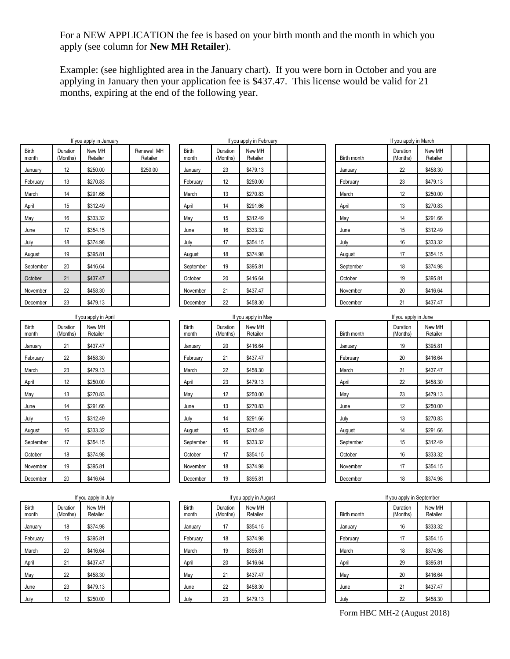For a NEW APPLICATION the fee is based on your birth month and the month in which you apply (see column for **New MH Retailer**).

Example: (see highlighted area in the January chart). If you were born in October and you are applying in January then your application fee is \$437.47. This license would be valid for 21 months, expiring at the end of the following year.

|                       |                      | If you apply in January |                        |                |                      | If you apply in February |  |                             | If you apply in March     |                    |  |
|-----------------------|----------------------|-------------------------|------------------------|----------------|----------------------|--------------------------|--|-----------------------------|---------------------------|--------------------|--|
| <b>Birth</b><br>month | Duration<br>(Months) | New MH<br>Retailer      | Renewal MH<br>Retailer | Birth<br>month | Duration<br>(Months) | New MH<br>Retailer       |  | Birth month                 | Duration<br>(Months)      | New MH<br>Retailer |  |
| January               | 12                   | \$250.00                | \$250.00               | January        | 23                   | \$479.13                 |  | January                     | 22                        | \$458.30           |  |
| February              | 13                   | \$270.83                |                        | February       | 12                   | \$250.00                 |  | February                    | 23                        | \$479.13           |  |
| March                 | 14                   | \$291.66                |                        | March          | 13                   | \$270.83                 |  | March                       | 12                        | \$250.00           |  |
| April                 | 15                   | \$312.49                |                        | April          | 14                   | \$291.66                 |  | April                       | 13                        | \$270.83           |  |
| May                   | 16                   | \$333.32                |                        | May            | 15                   | \$312.49                 |  | May                         | 14                        | \$291.66           |  |
| June                  | 17                   | \$354.15                |                        | June           | 16                   | \$333.32                 |  | June                        | 15                        | \$312.49           |  |
| July                  | 18                   | \$374.98                |                        | July           | 17                   | \$354.15                 |  | July                        | 16                        | \$333.32           |  |
| August                | 19                   | \$395.81                |                        | August         | 18                   | \$374.98                 |  | August                      | 17                        | \$354.15           |  |
| September             | 20                   | \$416.64                |                        | September      | 19                   | \$395.81                 |  | September                   | 18                        | \$374.98           |  |
| October               | 21                   | \$437.47                |                        | October        | 20                   | \$416.64                 |  | October                     | 19                        | \$395.81           |  |
| November              | 22                   | \$458.30                |                        | November       | 21                   | \$437.47                 |  | November                    | 20                        | \$416.64           |  |
| December              | 23                   | \$479.13                |                        | December       | 22                   | \$458.30                 |  | December                    | 21                        | \$437.47           |  |
|                       |                      | If you apply in April   |                        |                |                      | If you apply in May      |  |                             | If you apply in June      |                    |  |
| Birth<br>month        | Duration<br>(Months) | New MH<br>Retailer      |                        | Birth<br>month | Duration<br>(Months) | New MH<br>Retailer       |  | Birth month                 | Duration<br>(Months)      | New MH<br>Retailer |  |
| January               | 21                   | \$437.47                |                        | January        | 20                   | \$416.64                 |  | January                     | 19                        | \$395.81           |  |
| February              | 22                   | \$458.30                |                        | February       | 21                   | \$437.47                 |  | February                    | 20                        | \$416.64           |  |
| March                 | 23                   | \$479.13                |                        | March          | 22                   | \$458.30                 |  | March                       | 21                        | \$437.47           |  |
| April                 | 12                   | \$250.00                |                        | April          | 23                   | \$479.13                 |  | April                       | 22                        | \$458.30           |  |
| May                   | 13                   | \$270.83                |                        | May            | 12                   | \$250.00                 |  | May                         | 23                        | \$479.13           |  |
| June                  | 14                   | \$291.66                |                        | June           | 13                   | \$270.83                 |  | June                        | 12                        | \$250.00           |  |
| July                  | 15                   | \$312.49                |                        | July           | 14                   | \$291.66                 |  | July                        | 13                        | \$270.83           |  |
| August                | 16                   | \$333.32                |                        | August         | 15                   | \$312.49                 |  | August                      | 14                        | \$291.66           |  |
| September             | 17                   | \$354.15                |                        | September      | 16                   | \$333.32                 |  | September                   | 15                        | \$312.49           |  |
| October               | 18                   | \$374.98                |                        | October        | 17                   | \$354.15                 |  | October                     | 16                        | \$333.32           |  |
| November              | 19                   | \$395.81                |                        | November       | 18                   | \$374.98                 |  | November                    | 17                        | \$354.15           |  |
| December              | 20                   | \$416.64                |                        | December       | 19                   | \$395.81                 |  | December                    | 18                        | \$374.98           |  |
|                       |                      | If you apply in July    |                        |                |                      | If you apply in August   |  |                             | If you apply in September |                    |  |
| Birth<br>month        | Duration<br>(Months) | New MH<br>Retailer      |                        | Birth<br>month | Duration<br>(Months) | New MH<br>Retailer       |  | Birth month                 | Duration<br>(Months)      | New MH<br>Retailer |  |
| January               | 18                   | \$374.98                |                        | January        | 17                   | \$354.15                 |  | January                     | 16                        | \$333.32           |  |
| February              | 19                   | \$395.81                |                        | February       | 18                   | \$374.98                 |  | February                    | 17                        | \$354.15           |  |
| March                 | 20                   | \$416.64                |                        | March          | 19                   | \$395.81                 |  | March                       | 18                        | \$374.98           |  |
| April                 | 21                   | \$437.47                |                        | April          | 20                   | \$416.64                 |  | April                       | 29                        | \$395.81           |  |
| May                   | 22                   | \$458.30                |                        | May            | 21                   | \$437.47                 |  | May                         | 20                        | \$416.64           |  |
| June                  | 23                   | \$479.13                |                        | June           | 22                   | \$458.30                 |  | June                        | 21                        | \$437.47           |  |
| July                  | 12                   | \$250.00                |                        | July           | 23                   | \$479.13                 |  | July                        | 22                        | \$458.30           |  |
|                       |                      |                         |                        |                |                      |                          |  | Form HBC MH-2 (August 2018) |                           |                    |  |